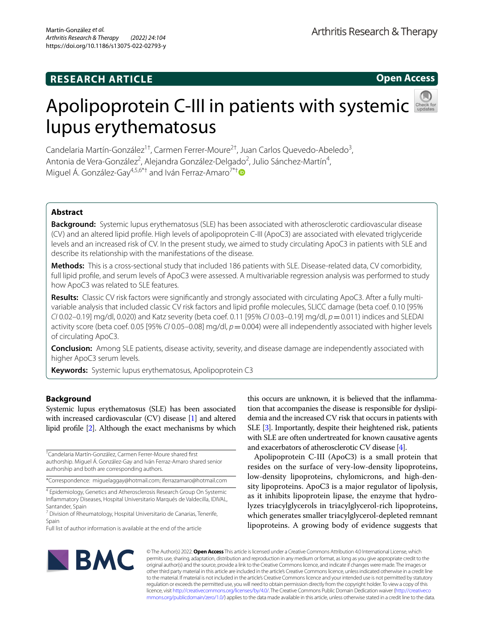## **RESEARCH ARTICLE**

**Open Access**

# ApolipoproteinC-III in patients with systemic lupus erythematosus

Candelaria Martín-González<sup>1†</sup>, Carmen Ferrer-Moure<sup>2†</sup>, Juan Carlos Quevedo-Abeledo<sup>3</sup>, Antonia de Vera-González<sup>2</sup>, Alejandra González-Delgado<sup>2</sup>, Julio Sánchez-Martín<sup>4</sup>, Miguel Á. González-Gay<sup>4,5,6\*†</sup> and Iván Ferraz-Amaro<sup>7\*†</sup>

## **Abstract**

**Background:** Systemic lupus erythematosus (SLE) has been associated with atherosclerotic cardiovascular disease (CV) and an altered lipid profle. High levels of apolipoprotein C-III (ApoC3) are associated with elevated triglyceride levels and an increased risk of CV. In the present study, we aimed to study circulating ApoC3 in patients with SLE and describe its relationship with the manifestations of the disease.

**Methods:** This is a cross-sectional study that included 186 patients with SLE. Disease-related data, CV comorbidity, full lipid profle, and serum levels of ApoC3 were assessed. A multivariable regression analysis was performed to study how ApoC3 was related to SLE features.

Results: Classic CV risk factors were significantly and strongly associated with circulating ApoC3. After a fully multivariable analysis that included classic CV risk factors and lipid profle molecules, SLICC damage (beta coef. 0.10 [95% *CI* 0.02–0.19] mg/dl, 0.020) and Katz severity (beta coef. 0.11 [95% *CI* 0.03–0.19] mg/dl, *p*=0.011) indices and SLEDAI activity score (beta coef. 0.05 [95% *CI* 0.05–0.08] mg/dl, *p*=0.004) were all independently associated with higher levels of circulating ApoC3.

**Conclusion:** Among SLE patients, disease activity, severity, and disease damage are independently associated with higher ApoC3 serum levels.

**Keywords:** Systemic lupus erythematosus, Apolipoprotein C3

## **Background**

Systemic lupus erythematosus (SLE) has been associated with increased cardiovascular (CV) disease [[1\]](#page-7-0) and altered lipid profle [\[2\]](#page-7-1). Although the exact mechanisms by which

† Candelaria Martín-González, Carmen Ferrer-Moure shared frst authorship. Miguel Á. González-Gay and Iván Ferraz-Amaro shared senior authorship and both are corresponding authors.

\*Correspondence: miguelaggay@hotmail.com; iferrazamaro@hotmail.com

<sup>4</sup> Epidemiology, Genetics and Atherosclerosis Research Group On Systemic Infammatory Diseases, Hospital Universitario Marqués de Valdecilla, IDIVAL, Santander, Spain

<sup>7</sup> Division of Rheumatology, Hospital Universitario de Canarias, Tenerife, Spain

this occurs are unknown, it is believed that the infammation that accompanies the disease is responsible for dyslipidemia and the increased CV risk that occurs in patients with SLE [\[3\]](#page-7-2). Importantly, despite their heightened risk, patients with SLE are often undertreated for known causative agents and exacerbators of atherosclerotic CV disease [\[4\]](#page-7-3).

Apolipoprotein C-III (ApoC3) is a small protein that resides on the surface of very-low-density lipoproteins, low-density lipoproteins, chylomicrons, and high-density lipoproteins. ApoC3 is a major regulator of lipolysis, as it inhibits lipoprotein lipase, the enzyme that hydrolyzes triacylglycerols in triacylglycerol-rich lipoproteins, which generates smaller triacylglycerol-depleted remnant lipoproteins. A growing body of evidence suggests that



© The Author(s) 2022. **Open Access** This article is licensed under a Creative Commons Attribution 4.0 International License, which permits use, sharing, adaptation, distribution and reproduction in any medium or format, as long as you give appropriate credit to the original author(s) and the source, provide a link to the Creative Commons licence, and indicate if changes were made. The images or other third party material in this article are included in the article's Creative Commons licence, unless indicated otherwise in a credit line to the material. If material is not included in the article's Creative Commons licence and your intended use is not permitted by statutory regulation or exceeds the permitted use, you will need to obtain permission directly from the copyright holder. To view a copy of this licence, visit [http://creativecommons.org/licenses/by/4.0/.](http://creativecommons.org/licenses/by/4.0/) The Creative Commons Public Domain Dedication waiver ([http://creativeco](http://creativecommons.org/publicdomain/zero/1.0/) [mmons.org/publicdomain/zero/1.0/](http://creativecommons.org/publicdomain/zero/1.0/)) applies to the data made available in this article, unless otherwise stated in a credit line to the data.

Full list of author information is available at the end of the article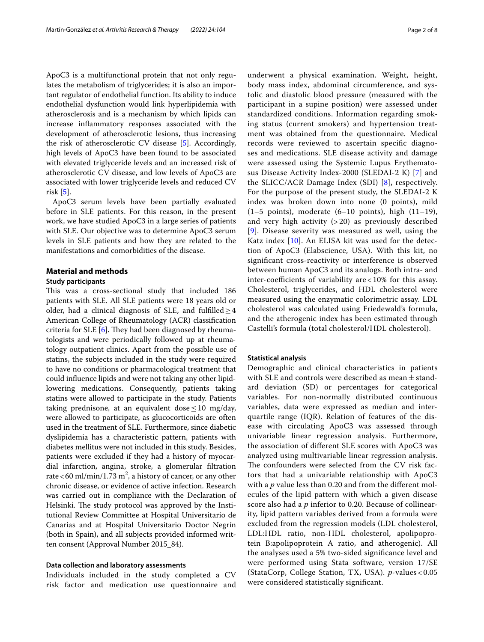ApoC3 is a multifunctional protein that not only regulates the metabolism of triglycerides; it is also an important regulator of endothelial function. Its ability to induce endothelial dysfunction would link hyperlipidemia with atherosclerosis and is a mechanism by which lipids can increase infammatory responses associated with the development of atherosclerotic lesions, thus increasing the risk of atherosclerotic CV disease [[5\]](#page-7-4). Accordingly, high levels of ApoC3 have been found to be associated with elevated triglyceride levels and an increased risk of atherosclerotic CV disease, and low levels of ApoC3 are associated with lower triglyceride levels and reduced CV risk [\[5](#page-7-4)].

ApoC3 serum levels have been partially evaluated before in SLE patients. For this reason, in the present work, we have studied ApoC3 in a large series of patients with SLE. Our objective was to determine ApoC3 serum levels in SLE patients and how they are related to the manifestations and comorbidities of the disease.

## **Material and methods**

#### **Study participants**

This was a cross-sectional study that included 186 patients with SLE. All SLE patients were 18 years old or older, had a clinical diagnosis of SLE, and fulfilled  $\geq$  4 American College of Rheumatology (ACR) classifcation criteria for SLE  $[6]$  $[6]$ . They had been diagnosed by rheumatologists and were periodically followed up at rheumatology outpatient clinics. Apart from the possible use of statins, the subjects included in the study were required to have no conditions or pharmacological treatment that could infuence lipids and were not taking any other lipidlowering medications. Consequently, patients taking statins were allowed to participate in the study. Patients taking prednisone, at an equivalent dose  $\leq 10$  mg/day, were allowed to participate, as glucocorticoids are often used in the treatment of SLE. Furthermore, since diabetic dyslipidemia has a characteristic pattern, patients with diabetes mellitus were not included in this study. Besides, patients were excluded if they had a history of myocardial infarction, angina, stroke, a glomerular fltration rate < 60 ml/min/1.73 m<sup>2</sup>, a history of cancer, or any other chronic disease, or evidence of active infection. Research was carried out in compliance with the Declaration of Helsinki. The study protocol was approved by the Institutional Review Committee at Hospital Universitario de Canarias and at Hospital Universitario Doctor Negrín (both in Spain), and all subjects provided informed written consent (Approval Number 2015\_84).

#### **Data collection and laboratory assessments**

Individuals included in the study completed a CV risk factor and medication use questionnaire and underwent a physical examination. Weight, height, body mass index, abdominal circumference, and systolic and diastolic blood pressure (measured with the participant in a supine position) were assessed under standardized conditions. Information regarding smoking status (current smokers) and hypertension treatment was obtained from the questionnaire. Medical records were reviewed to ascertain specifc diagnoses and medications. SLE disease activity and damage were assessed using the Systemic Lupus Erythematosus Disease Activity Index-2000 (SLEDAI-2 K) [\[7](#page-7-6)] and the SLICC/ACR Damage Index (SDI) [\[8\]](#page-7-7), respectively. For the purpose of the present study, the SLEDAI-2 K index was broken down into none (0 points), mild  $(1-5 \text{ points})$ , moderate  $(6-10 \text{ points})$ , high  $(11-19)$ , and very high activity (> 20) as previously described [[9](#page-7-8)]. Disease severity was measured as well, using the

Katz index [\[10](#page-7-9)]. An ELISA kit was used for the detection of ApoC3 (Elabscience, USA). With this kit, no signifcant cross-reactivity or interference is observed between human ApoC3 and its analogs. Both intra- and inter-coefficients of variability are  $< 10\%$  for this assay. Cholesterol, triglycerides, and HDL cholesterol were measured using the enzymatic colorimetric assay. LDL cholesterol was calculated using Friedewald's formula, and the atherogenic index has been estimated through Castelli's formula (total cholesterol/HDL cholesterol).

#### **Statistical analysis**

Demographic and clinical characteristics in patients with SLE and controls were described as mean  $\pm$  standard deviation (SD) or percentages for categorical variables. For non-normally distributed continuous variables, data were expressed as median and interquartile range (IQR). Relation of features of the disease with circulating ApoC3 was assessed through univariable linear regression analysis. Furthermore, the association of diferent SLE scores with ApoC3 was analyzed using multivariable linear regression analysis. The confounders were selected from the CV risk factors that had a univariable relationship with ApoC3 with a *p* value less than 0.20 and from the different molecules of the lipid pattern with which a given disease score also had a *p* inferior to 0.20. Because of collinearity, lipid pattern variables derived from a formula were excluded from the regression models (LDL cholesterol, LDL:HDL ratio, non-HDL cholesterol, apolipoprotein B:apolipoprotein A ratio, and atherogenic). All the analyses used a 5% two-sided signifcance level and were performed using Stata software, version 17/SE (StataCorp, College Station, TX, USA). *p*-values < 0.05 were considered statistically signifcant.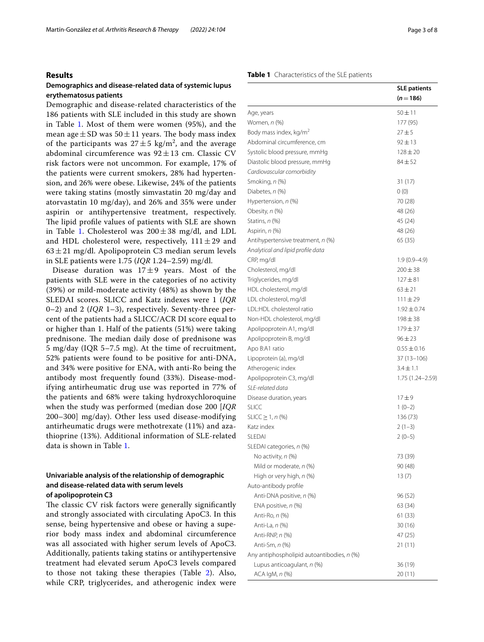## **Results**

## **Demographics and disease‑related data of systemic lupus erythematosus patients**

Demographic and disease-related characteristics of the 186 patients with SLE included in this study are shown in Table [1](#page-2-0). Most of them were women (95%), and the mean age  $\pm$  SD was 50 $\pm$ 11 years. The body mass index of the participants was  $27 \pm 5$  kg/m<sup>2</sup>, and the average abdominal circumference was  $92 \pm 13$  cm. Classic CV risk factors were not uncommon. For example, 17% of the patients were current smokers, 28% had hypertension, and 26% were obese. Likewise, 24% of the patients were taking statins (mostly simvastatin 20 mg/day and atorvastatin 10 mg/day), and 26% and 35% were under aspirin or antihypertensive treatment, respectively. The lipid profile values of patients with SLE are shown in Table [1](#page-2-0). Cholesterol was  $200 \pm 38$  mg/dl, and LDL and HDL cholesterol were, respectively,  $111 \pm 29$  and  $63 \pm 21$  mg/dl. Apolipoprotein C3 median serum levels in SLE patients were 1.75 (*IQR* 1.24–2.59) mg/dl.

Disease duration was  $17±9$  years. Most of the patients with SLE were in the categories of no activity (39%) or mild-moderate activity (48%) as shown by the SLEDAI scores. SLICC and Katz indexes were 1 (*IQR* 0–2) and 2 (*IQR* 1–3), respectively. Seventy-three percent of the patients had a SLICC/ACR DI score equal to or higher than 1. Half of the patients (51%) were taking prednisone. The median daily dose of prednisone was 5 mg/day (IQR 5–7.5 mg). At the time of recruitment, 52% patients were found to be positive for anti-DNA, and 34% were positive for ENA, with anti-Ro being the antibody most frequently found (33%). Disease-modifying antirheumatic drug use was reported in 77% of the patients and 68% were taking hydroxychloroquine when the study was performed (median dose 200 [*IQR* 200–300] mg/day). Other less used disease-modifying antirheumatic drugs were methotrexate (11%) and azathioprine (13%). Additional information of SLE-related data is shown in Table [1](#page-2-0).

## **Univariable analysis of the relationship of demographic and disease‑related data with serum levels of apolipoprotein C3**

The classic CV risk factors were generally significantly and strongly associated with circulating ApoC3. In this sense, being hypertensive and obese or having a superior body mass index and abdominal circumference was all associated with higher serum levels of ApoC3. Additionally, patients taking statins or antihypertensive treatment had elevated serum ApoC3 levels compared to those not taking these therapies (Table [2](#page-4-0)). Also, while CRP, triglycerides, and atherogenic index were

#### <span id="page-2-0"></span>**Table 1** Characteristics of the SLE patients

|                                                                        | <b>SLE patients</b> |
|------------------------------------------------------------------------|---------------------|
|                                                                        | $(n=186)$           |
| Age, years                                                             | $50 \pm 11$         |
| Women, <i>n</i> (%)                                                    | 177 (95)            |
| Body mass index, kg/m <sup>2</sup>                                     | $27 + 5$            |
| Abdominal circumference, cm                                            | $92 \pm 13$         |
| Systolic blood pressure, mmHg                                          | $128 + 20$          |
| Diastolic blood pressure, mmHg                                         | $84 + 52$           |
| Cardiovascular comorbidity                                             |                     |
| Smoking, n (%)                                                         | 31 (17)             |
| Diabetes, n (%)                                                        | 0(0)                |
| Hypertension, n (%)                                                    | 70 (28)             |
| Obesity, n (%)                                                         | 48 (26)             |
| Statins, n (%)                                                         | 45 (24)             |
| Aspirin, n (%)                                                         | 48 (26)             |
|                                                                        |                     |
| Antihypertensive treatment, n (%)<br>Analytical and lipid profile data | 65(35)              |
| CRP, mg/dl                                                             | $1.9(0.9-4.9)$      |
| Cholesterol, mg/dl                                                     | $200 \pm 38$        |
| Triglycerides, mg/dl                                                   | $127 + 81$          |
| HDL cholesterol, mg/dl                                                 | $63 \pm 21$         |
|                                                                        | $111 \pm 29$        |
| LDL cholesterol, mg/dl                                                 |                     |
| LDL:HDL cholesterol ratio                                              | $1.92 \pm 0.74$     |
| Non-HDL cholesterol, mg/dl                                             | $198 \pm 38$        |
| Apolipoprotein A1, mg/dl                                               | $179 + 37$          |
| Apolipoprotein B, mg/dl                                                | $96 \pm 23$         |
| Apo B:A1 ratio                                                         | $0.55 \pm 0.16$     |
| Lipoprotein (a), mg/dl                                                 | 37 (13–106)         |
| Atherogenic index                                                      | $3.4 \pm 1.1$       |
| Apolipoprotein C3, mg/dl                                               | 1.75 (1.24 - 2.59)  |
| SLE-related data                                                       |                     |
| Disease duration, years                                                | $17 + 9$            |
| <b>SLICC</b>                                                           | $1(0-2)$            |
| $SLICC \geq 1, n$ (%)                                                  | 136 (73)            |
| Katz index                                                             | $2(1-3)$            |
| <b>SLEDAI</b>                                                          | $2(0-5)$            |
| SLEDAI categories, n (%)                                               |                     |
| No activity, <i>n</i> (%)                                              | 73 (39)             |
| Mild or moderate, n (%)                                                | 90 (48)             |
| High or very high, n (%)                                               | 13(7)               |
| Auto-antibody profile                                                  |                     |
| Anti-DNA positive, n (%)                                               | 96 (52)             |
| ENA positive, n (%)                                                    | 63 (34)             |
| Anti-Ro, <i>n</i> (%)                                                  | 61(33)              |
| Anti-La, n (%)                                                         | 30 (16)             |
| Anti-RNP, n (%)                                                        | 47 (25)             |
| Anti-Sm, <i>n</i> (%)                                                  | 21 (11)             |
| Any antiphospholipid autoantibodies, n (%)                             |                     |
| Lupus anticoagulant, n (%)                                             | 36 (19)             |
| ACA IgM, n (%)                                                         | 20 (11)             |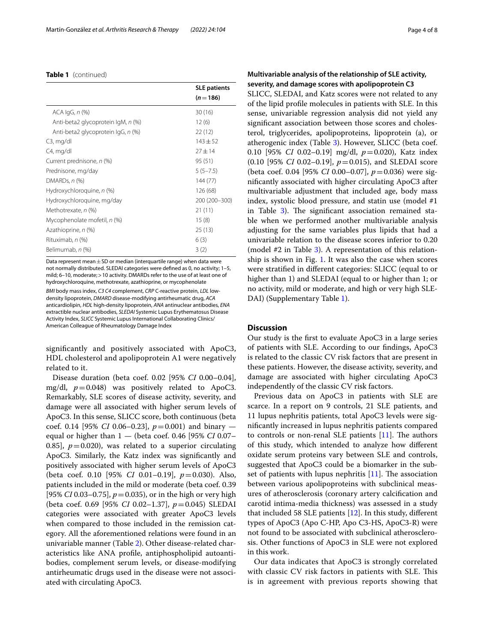#### **Table 1** (continued)

|                                    | <b>SLE patients</b> |
|------------------------------------|---------------------|
|                                    | $(n=186)$           |
| $ACA$ $lgG, n$ $%$                 | 30(16)              |
| Anti-beta2 glycoprotein IgM, n (%) | 12(6)               |
| Anti-beta2 glycoprotein lgG, n (%) | 22 (12)             |
| $C3$ , mg/dl                       | $143 + 52$          |
| C4, mg/dl                          | $27 + 14$           |
| Current prednisone, n (%)          | 95 (51)             |
| Prednisone, mg/day                 | $5(5-7.5)$          |
| DMARDs, $n$ (%)                    | 144 (77)            |
| Hydroxychloroquine, n (%)          | 126 (68)            |
| Hydroxychloroquine, mg/day         | 200 (200-300)       |
| Methotrexate, n (%)                | 21 (11)             |
| Mycophenolate mofetil, n (%)       | 15(8)               |
| Azathioprine, n (%)                | 25(13)              |
| Rituximab, n (%)                   | 6(3)                |
| Belimumab, n (%)                   | 3 (2)               |

Data represent mean  $\pm$  SD or median (interquartile range) when data were not normally distributed. SLEDAI categories were defned as 0, no activity; 1–5, mild; 6–10, moderate;>10 activity. DMARDs refer to the use of at least one of hydroxychloroquine, methotrexate, azathioprine, or mycophenolate

*BMI* body mass index, *C3 C4* complement, *CRP* C-reactive protein, *LDL* lowdensity lipoprotein, *DMARD* disease-modifying antirheumatic drug, *ACA* anticardiolipin, *HDL* high-density lipoprotein, *ANA* antinuclear antibodies, *ENA* extractible nuclear antibodies, *SLEDAI* Systemic Lupus Erythematosus Disease Activity Index, *SLICC* Systemic Lupus International Collaborating Clinics/ American Colleague of Rheumatology Damage Index

signifcantly and positively associated with ApoC3, HDL cholesterol and apolipoprotein A1 were negatively related to it.

Disease duration (beta coef. 0.02 [95% *CI* 0.00–0.04], mg/dl,  $p=0.048$ ) was positively related to ApoC3. Remarkably, SLE scores of disease activity, severity, and damage were all associated with higher serum levels of ApoC3. In this sense, SLICC score, both continuous (beta coef. 0.14 [95% *CI* 0.06–0.23], *p*=0.001) and binary equal or higher than 1 — (beta coef. 0.46 [95% *CI* 0.07– 0.85],  $p=0.020$ ), was related to a superior circulating ApoC3. Similarly, the Katz index was signifcantly and positively associated with higher serum levels of ApoC3 (beta coef. 0.10 [95% *CI* 0.01–0.19], *p*=0.030). Also, patients included in the mild or moderate (beta coef. 0.39 [95% *CI* 0.03–0.75], *p*=0.035), or in the high or very high (beta coef. 0.69 [95% *CI* 0.02–1.37], *p*=0.045) SLEDAI categories were associated with greater ApoC3 levels when compared to those included in the remission category. All the aforementioned relations were found in an univariable manner (Table [2](#page-4-0)). Other disease-related characteristics like ANA profle, antiphospholipid autoantibodies, complement serum levels, or disease-modifying antirheumatic drugs used in the disease were not associated with circulating ApoC3.

## **Multivariable analysis of the relationship of SLE activity, severity, and damage scores with apolipoprotein C3**

SLICC, SLEDAI, and Katz scores were not related to any of the lipid profle molecules in patients with SLE. In this sense, univariable regression analysis did not yield any signifcant association between those scores and cholesterol, triglycerides, apolipoproteins, lipoprotein (a), or atherogenic index (Table [3\)](#page-5-0). However, SLICC (beta coef. 0.10 [95% *CI* 0.02–0.19] mg/dl, *p*=0.020), Katz index (0.10 [95% *CI* 0.02–0.19], *p*=0.015), and SLEDAI score (beta coef. 0.04 [95% *CI* 0.00–0.07], *p*=0.036) were signifcantly associated with higher circulating ApoC3 after multivariable adjustment that included age, body mass index, systolic blood pressure, and statin use (model #1 in Table [3](#page-5-0)). The significant association remained stable when we performed another multivariable analysis adjusting for the same variables plus lipids that had a univariable relation to the disease scores inferior to 0.20 (model #2 in Table [3\)](#page-5-0). A representation of this relationship is shown in Fig. [1.](#page-6-0) It was also the case when scores were stratifed in diferent categories: SLICC (equal to or higher than 1) and SLEDAI (equal to or higher than 1; or no activity, mild or moderate, and high or very high SLE-DAI) (Supplementary Table [1\)](#page-6-1).

## **Discussion**

Our study is the frst to evaluate ApoC3 in a large series of patients with SLE. According to our fndings, ApoC3 is related to the classic CV risk factors that are present in these patients. However, the disease activity, severity, and damage are associated with higher circulating ApoC3 independently of the classic CV risk factors.

Previous data on ApoC3 in patients with SLE are scarce. In a report on 9 controls, 21 SLE patients, and 11 lupus nephritis patients, total ApoC3 levels were signifcantly increased in lupus nephritis patients compared to controls or non-renal SLE patients  $[11]$  $[11]$  $[11]$ . The authors of this study, which intended to analyze how diferent oxidate serum proteins vary between SLE and controls, suggested that ApoC3 could be a biomarker in the subset of patients with lupus nephritis  $[11]$  $[11]$ . The association between various apolipoproteins with subclinical measures of atherosclerosis (coronary artery calcifcation and carotid intima-media thickness) was assessed in a study that included 58 SLE patients  $[12]$  $[12]$ . In this study, different types of ApoC3 (Apo C-HP, Apo C3-HS, ApoC3-R) were not found to be associated with subclinical atherosclerosis. Other functions of ApoC3 in SLE were not explored in this work.

Our data indicates that ApoC3 is strongly correlated with classic CV risk factors in patients with SLE. This is in agreement with previous reports showing that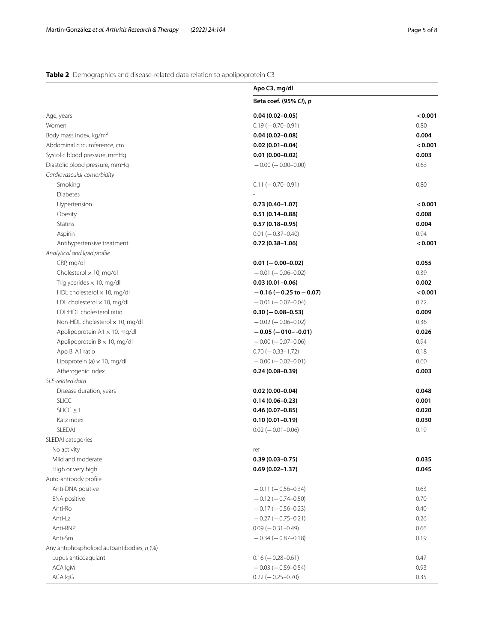## <span id="page-4-0"></span>**Table 2** Demographics and disease-related data relation to apolipoprotein C3

|                                            | Apo C3, mg/dl                  |         |
|--------------------------------------------|--------------------------------|---------|
|                                            | Beta coef. (95% CI), p         |         |
| Age, years                                 | $0.04(0.02 - 0.05)$            | < 0.001 |
| Women                                      | $0.19(-0.70-0.91)$             | 0.80    |
| Body mass index, kg/m <sup>2</sup>         | $0.04(0.02 - 0.08)$            | 0.004   |
| Abdominal circumference, cm                | $0.02(0.01 - 0.04)$            | < 0.001 |
| Systolic blood pressure, mmHg              | $0.01(0.00 - 0.02)$            | 0.003   |
| Diastolic blood pressure, mmHg             | $-0.00$ ( $-0.00$ -0.00)       | 0.63    |
| Cardiovascular comorbidity                 |                                |         |
| Smoking                                    | $0.11 (-0.70 - 0.91)$          | 0.80    |
| <b>Diabetes</b>                            |                                |         |
| Hypertension                               | $0.73(0.40 - 1.07)$            | < 0.001 |
| Obesity                                    | $0.51(0.14 - 0.88)$            | 0.008   |
| <b>Statins</b>                             | $0.57(0.18-0.95)$              | 0.004   |
| Aspirin                                    | $0.01 (-0.37 - 0.40)$          | 0.94    |
| Antihypertensive treatment                 | $0.72(0.38 - 1.06)$            | < 0.001 |
| Analytical and lipid profile               |                                |         |
| CRP, mg/dl                                 | $0.01 (-0.00 - 0.02)$          | 0.055   |
| Cholesterol $\times$ 10, mg/dl             | $-0.01$ ( $-0.06 - 0.02$ )     | 0.39    |
| Triglycerides $\times$ 10, mg/dl           | $0.03(0.01 - 0.06)$            | 0.002   |
| HDL cholesterol $\times$ 10, mg/dl         | $-0.16$ ( $-0.25$ to $-0.07$ ) | < 0.001 |
| LDL cholesterol $\times$ 10, mg/dl         | $-0.01$ ( $-0.07-0.04$ )       | 0.72    |
| LDL:HDL cholesterol ratio                  | $0.30 (-0.08 - 0.53)$          | 0.009   |
| Non-HDL cholesterol $\times$ 10, mg/dl     | $-0.02$ ( $-0.06 - 0.02$ )     | 0.36    |
| Apolipoprotein $A1 \times 10$ , mg/dl      | $-0.05(-010-0.01)$             | 0.026   |
| Apolipoprotein $B \times 10$ , mg/dl       | $-0.00$ ( $-0.07-0.06$ )       | 0.94    |
| Apo B: A1 ratio                            | $0.70 (-0.33 - 1.72)$          | 0.18    |
| Lipoprotein (a) $\times$ 10, mg/dl         | $-0.00 (-0.02 - 0.01)$         | 0.60    |
| Atherogenic index                          | $0.24(0.08 - 0.39)$            | 0.003   |
| SLE-related data                           |                                |         |
| Disease duration, years                    | $0.02(0.00-0.04)$              | 0.048   |
| <b>SLICC</b>                               | $0.14(0.06 - 0.23)$            | 0.001   |
| $SLICC \geq 1$                             | $0.46(0.07 - 0.85)$            | 0.020   |
| Katz index                                 | $0.10(0.01 - 0.19)$            | 0.030   |
| SLEDAI                                     | $0.02 (-0.01 - 0.06)$          | 0.19    |
| SLEDAI categories                          |                                |         |
| No activity                                | ref                            |         |
| Mild and moderate                          | $0.39(0.03 - 0.75)$            | 0.035   |
| High or very high                          | $0.69(0.02 - 1.37)$            | 0.045   |
| Auto-antibody profile                      |                                |         |
| Anti-DNA positive                          | $-0.11(-0.56-0.34)$            | 0.63    |
| ENA positive                               | $-0.12(-0.74-0.50)$            | 0.70    |
| Anti-Ro                                    | $-0.17(-0.56-0.23)$            | 0.40    |
| Anti-La                                    | $-0.27(-0.75-0.21)$            | 0.26    |
| Anti-RNP                                   | $0.09 (-0.31 - 0.49)$          | 0.66    |
| Anti-Sm                                    | $-0.34(-0.87-0.18)$            | 0.19    |
| Any antiphospholipid autoantibodies, n (%) |                                |         |
| Lupus anticoagulant                        | $0.16 (-0.28 - 0.61)$          | 0.47    |
| ACA IgM                                    | $-0.03(-0.59-0.54)$            | 0.93    |
| ACA IgG                                    | $0.22 (-0.25 - 0.70)$          | 0.35    |
|                                            |                                |         |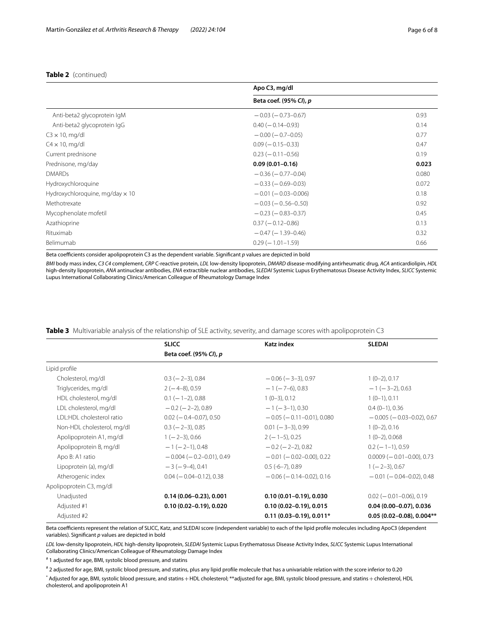## **Table 2** (continued)

|                                        | Apo C3, mg/dl               |       |  |
|----------------------------------------|-----------------------------|-------|--|
|                                        | Beta coef. (95% CI), p      |       |  |
| Anti-beta2 glycoprotein lgM            | $-0.03$ ( $-0.73-0.67$ )    | 0.93  |  |
| Anti-beta2 glycoprotein lgG            | $0.40 (-0.14 - 0.93)$       | 0.14  |  |
| $C3 \times 10$ , mg/dl                 | $-0.00$ ( $-0.7-0.05$ )     | 0.77  |  |
| $C4 \times 10$ , mg/dl                 | $0.09$ ( $-0.15 - 0.33$ )   | 0.47  |  |
| Current prednisone                     | $0.23 (-0.11 - 0.56)$       | 0.19  |  |
| Prednisone, mg/day                     | $0.09(0.01 - 0.16)$         | 0.023 |  |
| <b>DMARDs</b>                          | $-0.36(-0.77-0.04)$         | 0.080 |  |
| Hydroxychloroquine                     | $-0.33(-0.69-0.03)$         | 0.072 |  |
| Hydroxychloroquine, mg/day $\times$ 10 | $-0.01$ ( $-0.03 - 0.006$ ) | 0.18  |  |
| Methotrexate                           | $-0.03$ ( $-0.56-0.50$ )    | 0.92  |  |
| Mycophenolate mofetil                  | $-0.23$ ( $-0.83 - 0.37$ )  | 0.45  |  |
| Azathioprine                           | $0.37 (-0.12 - 0.86)$       | 0.13  |  |
| Rituximab                              | $-0.47(-1.39-0.46)$         | 0.32  |  |
| Belimumab                              | $0.29$ ( $-1.01-1.59$ )     | 0.66  |  |

Beta coefficients consider apolipoprotein C3 as the dependent variable. Significant *p* values are depicted in bold

*BMI* body mass index, *C3 C4* complement, *CRP* C-reactive protein, *LDL* low-density lipoprotein, *DMARD* disease-modifying antirheumatic drug, *ACA* anticardiolipin, *HDL* high-density lipoprotein, *ANA* antinuclear antibodies, *ENA* extractible nuclear antibodies, *SLEDAI* Systemic Lupus Erythematosus Disease Activity Index, *SLICC* Systemic Lupus International Collaborating Clinics/American Colleague of Rheumatology Damage Index

<span id="page-5-0"></span>

|                                  | <b>SLICC</b>                   | Katz index                      | <b>SLEDAI</b>                    |
|----------------------------------|--------------------------------|---------------------------------|----------------------------------|
|                                  | Beta coef. (95% CI), p         |                                 |                                  |
| Lipid profile                    |                                |                                 |                                  |
| Cholesterol, mg/dl               | $0.3$ ( $-2-3$ ), 0.84         | $-0.06$ ( $-3-3$ ), 0.97        | $1(0-2), 0.17$                   |
| Triglycerides, mg/dl             | $2(-4-8)$ , 0.59               | $-1$ ( $-7$ -6), 0.83           | $-1$ ( $-3-2$ ), 0.63            |
| HDL cholesterol, mg/dl           | $0.1$ ( $-1-2$ ), 0.88         | $1(0-3), 0.12$                  | $1(0-1)$ , 0.11                  |
| LDL cholesterol, mg/dl           | $-0.2$ ( $-2-2$ ), 0.89        | $-1$ (-3-1), 0.30               | $0.4(0-1)$ , 0.36                |
| <b>IDI:HDI</b> cholesterol ratio | $0.02$ ( $-0.4-0.07$ ), 0.50   | $-0.05$ ( $-0.11-0.01$ ), 0.080 | $-0.005$ ( $-0.03-0.02$ ), 0.67  |
| Non-HDL cholesterol, mg/dl       | $0.3$ ( $-2-3$ ), 0.85         | $0.01$ ( $-3-3$ ), 0.99         | $1(0-2), 0.16$                   |
| Apolipoprotein A1, mg/dl         | $1(-2-3)$ , 0.66               | $2(-1-5)$ , 0.25                | $1(0-2), 0.068$                  |
| Apolipoprotein B, mg/dl          | $-1$ (-2-1), 0.48              | $-0.2$ ( $-2-2$ ), 0.82         | $0.2$ (-1-1), 0.59               |
| Apo B: A1 ratio                  | $-0.004$ ( $-0.2-0.01$ ), 0.49 | $-0.01$ ( $-0.02-0.00$ ), 0.22  | $0.0009 (-0.01 - 0.00)$ , 0.73   |
| Lipoprotein (a), mg/dl           | $-3(-9-4)$ , 0.41              | $0.5(-6-7)$ , 0.89              | $1(-2-3)$ , 0.67                 |
| Atherogenic index                | $0.04 (-0.04 - 0.12), 0.38$    | $-0.06$ ( $-0.14-0.02$ ), 0.16  | $-0.01$ ( $-0.04-0.02$ ), 0.48   |
| Apolipoprotein C3, mg/dl         |                                |                                 |                                  |
| Unadjusted                       | $0.14(0.06 - 0.23), 0.001$     | $0.10(0.01 - 0.19)$ , 0.030     | $0.02$ ( $-0.01$ $-0.06$ ), 0.19 |
| Adjusted #1                      | $0.10(0.02 - 0.19)$ , 0.020    | $0.10(0.02 - 0.19)$ , 0.015     | $0.04(0.00 - 0.07), 0.036$       |
| Adjusted #2                      |                                | $0.11(0.03 - 0.19)$ , $0.011*$  | $0.05(0.02 - 0.08), 0.004**$     |

Beta coefficients represent the relation of SLICC, Katz, and SLEDAI score (independent variable) to each of the lipid profile molecules including ApoC3 (dependent variables). Signifcant *p* values are depicted in bold

*LDL* low-density lipoprotein, *HDL* high-density lipoprotein, *SLEDAI* Systemic Lupus Erythematosus Disease Activity Index, *SLICC* Systemic Lupus International Collaborating Clinics/American Colleague of Rheumatology Damage Index

# 1 adjusted for age, BMI, systolic blood pressure, and statins

# 2 adjusted for age, BMI, systolic blood pressure, and statins, plus any lipid profle molecule that has a univariable relation with the score inferior to 0.20

\* Adjusted for age, BMI, systolic blood pressure, and statins+HDL cholesterol; \*\*adjusted for age, BMI, systolic blood pressure, and statins+cholesterol, HDL cholesterol, and apolipoprotein A1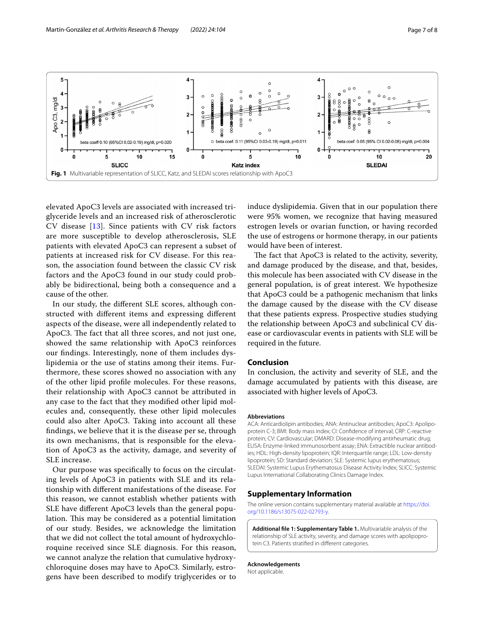

<span id="page-6-0"></span>elevated ApoC3 levels are associated with increased triglyceride levels and an increased risk of atherosclerotic CV disease [[13\]](#page-7-12). Since patients with CV risk factors are more susceptible to develop atherosclerosis, SLE patients with elevated ApoC3 can represent a subset of patients at increased risk for CV disease. For this reason, the association found between the classic CV risk factors and the ApoC3 found in our study could probably be bidirectional, being both a consequence and a cause of the other.

In our study, the diferent SLE scores, although constructed with diferent items and expressing diferent aspects of the disease, were all independently related to ApoC3. The fact that all three scores, and not just one, showed the same relationship with ApoC3 reinforces our fndings. Interestingly, none of them includes dyslipidemia or the use of statins among their items. Furthermore, these scores showed no association with any of the other lipid profle molecules. For these reasons, their relationship with ApoC3 cannot be attributed in any case to the fact that they modifed other lipid molecules and, consequently, these other lipid molecules could also alter ApoC3. Taking into account all these fndings, we believe that it is the disease per se, through its own mechanisms, that is responsible for the elevation of ApoC3 as the activity, damage, and severity of SLE increase.

Our purpose was specifcally to focus on the circulating levels of ApoC3 in patients with SLE and its relationship with diferent manifestations of the disease. For this reason, we cannot establish whether patients with SLE have diferent ApoC3 levels than the general population. This may be considered as a potential limitation of our study. Besides, we acknowledge the limitation that we did not collect the total amount of hydroxychloroquine received since SLE diagnosis. For this reason, we cannot analyze the relation that cumulative hydroxychloroquine doses may have to ApoC3. Similarly, estrogens have been described to modify triglycerides or to induce dyslipidemia. Given that in our population there were 95% women, we recognize that having measured estrogen levels or ovarian function, or having recorded the use of estrogens or hormone therapy, in our patients would have been of interest.

The fact that ApoC3 is related to the activity, severity, and damage produced by the disease, and that, besides, this molecule has been associated with CV disease in the general population, is of great interest. We hypothesize that ApoC3 could be a pathogenic mechanism that links the damage caused by the disease with the CV disease that these patients express. Prospective studies studying the relationship between ApoC3 and subclinical CV disease or cardiovascular events in patients with SLE will be required in the future.

## **Conclusion**

In conclusion, the activity and severity of SLE, and the damage accumulated by patients with this disease, are associated with higher levels of ApoC3.

#### **Abbreviations**

ACA: Anticardiolipin antibodies; ANA: Antinuclear antibodies; ApoC3: Apolipoprotein C-3; BMI: Body mass index; CI: Confdence of interval; CRP: C-reactive protein; CV: Cardiovascular; DMARD: Disease-modifying antirheumatic drug; ELISA: Enzyme-linked immunosorbent assay; ENA: Extractible nuclear antibodies; HDL: High-density lipoprotein; IQR: Interquartile range; LDL: Low-density lipoprotein; SD: Standard deviation; SLE: Systemic lupus erythematosus; SLEDAI: Systemic Lupus Erythematosus Disease Activity Index; SLICC: Systemic Lupus International Collaborating Clinics Damage Index.

#### **Supplementary Information**

The online version contains supplementary material available at [https://doi.](https://doi.org/10.1186/s13075-022-02793-y) [org/10.1186/s13075-022-02793-y.](https://doi.org/10.1186/s13075-022-02793-y)

<span id="page-6-1"></span>**Additional fle 1: Supplementary Table 1.** Multivariable analysis of the relationship of SLE activity, severity, and damage scores with apolipoprotein C3. Patients stratifed in diferent categories.

**Acknowledgements** Not applicable.